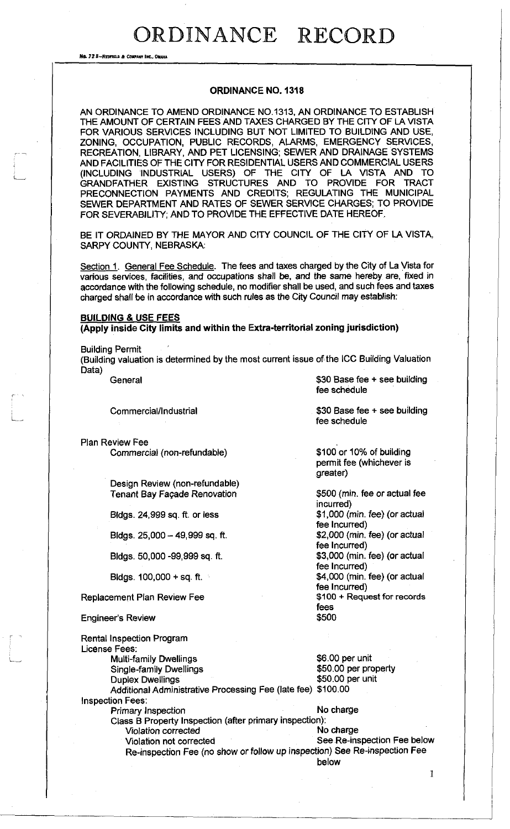No. 72 B-REDFIELD & COMPANY INC., OHAHA

#### **ORDINANCE NO. 1318**

AN ORDINANCE TO AMEND ORDINANCE NO.1313, AN ORDINANCE TO ESTABLISH THE AMOUNT OF CERTAIN FEES AND TAXES CHARGED BY THE CITY OF LA VISTA FOR VARIOUS SERVICES INCLUDING BUT NOT LIMITED TO BUILDING AND USE, ZONING, OCCUPATION, PUBLIC RECORDS, ALARMS, EMERGENCY SERVICES, RECREATION, LIBRARY, AND PET LICENSING; SEWER AND DRAINAGE SYSTEMS AND FACILITIES OF THE CITY FOR RESIDENTIAL USERS AND COMMERCIAL USERS (INCLUDING INDUSTRIAL USERS) OF THE CITY OF LA VISTA AND TO GRANDFATHER EXISTING STRUCTURES AND TO PROVIDE FOR TRACT PRECONNECTION PAYMENTS AND CREDITS; REGULATING THE MUNICIPAL SEWER DEPARTMENT AND RATES OF SEWER SERVICE CHARGES; TO PROVIDE FOR SEVERABILITY; AND TO PROVIDE THE EFFECTIVE DATE HEREOF.

BE IT ORDAINED BY THE MAYOR AND CITY COUNCIL OF THE CITY OF LA VISTA, SARPY COUNTY, NEBRASKA:

Section 1. General Fee Schedule. The fees and taxes charged by the City of La Vista for various services, facilities, and occupations shall be, and the same hereby are, fixed in accordance with the following schedule, no modifier shall be used, and such fees and taxes charged shall be in accordance with such rules as the City Council may establish:

#### **BUILDING & USE FEES**

**(Apply inside City limits and within the Extra-territorial zoning jurisdiction)** 

Building Permit

L...

(Building valuation is determined by the most current issue of the ICC Building Valuation Data)

General \$30 Base fee + see building

Commercial/Industrial 600 Commercial/Industrial 530 Base fee + see building

Plan Review Fee Commercial (non-refundable)

> Design Review (non-refundable) Tenant Bay Fagade Renovation

Bldgs. 24,999 sq. ft. or less

Bldgs.  $25,000 - 49,999$  sq. ft.

Bldgs. 50,000 -99,999 sq. ft.

Bldgs.  $100,000 + sq. ft.$ 

Replacement Plan Review Fee

Duplex Dwellings

Rental Inspection Program

Engineer's Review

License Fees:

Inspection Fees:

\$100 or 10% of building

fee schedule

fee schedule

permit fee (whichever is greater)

\$500 (min. fee or actual fee incurred) \$1,000 (min. fee) (or actual fee Incurred) \$2,000 (min. fee) (or actual fee Incurred) \$3,000 (min. fee) (or actual fee Incurred) \$4,000 (min. fee) (or actual fee Incurred) \$100 + Request for records fees \$500

Multi-family Dwellings<br>
Single-family Dwellings<br>
\$50.00 per property Single-family Dwellings \$50.00 per property Additional Administrative Processing Fee (late fee) \$100.00

1

Primary Inspection No charge

Class B Property Inspection (after primary inspection): Violation corrected Violation not corrected See Re-inspection Fee below Re-inspection Fee (no show or follow up inspection) See Re-inspection Fee below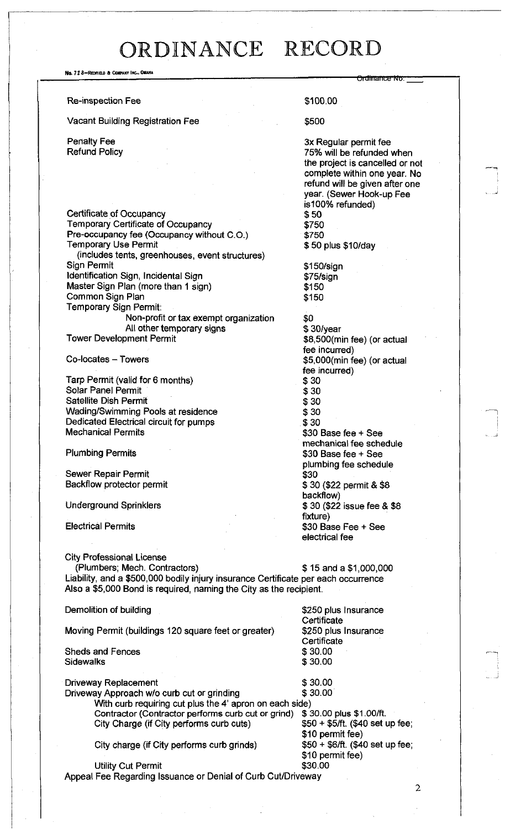No. 72 8-Redfield & Company Inc., Omaha **Ql Uill cllliB NO.**  Re-inspection Fee  $$100.00$ Vacant Building Registration Fee  $$500$ Penalty Fee 3x Regular permit fee 3x Regular permit fee 3x Regular permit fee 3x Regular permit fee 3x Regular permit fee 3x Regular permit fee 3x Regular permit fee 3x Regular permit fee 3x Regular permit fee 3x 8x 8x 8x 75% will be refunded when the project is cancelled or not complete within one year. No refund will be given after one year. (Sewer Hook-up Fee is100% refunded) Certificate of Occupancy<br>
Temporary Certificate of Occupancy<br>
\$750 Temporary Certificate of Occupancy<br>Pre-occupancy fee (Occupancy without C.O.) \$750 Pre-occupancy fee (Occupancy without C.O.) Temporary Use Permit \$ 50 plus \$10/day (includes tents, greenhouses, event structures) Sign Permit **\$150/sign** Identification Sign, Incidental Sign<br>
Master Sign Plan (more than 1 sign) \$150 Master Sign Plan (more than 1 sign) \$150<br>Common Sign Plan \$150 Common Sign Plan Temporary Sign Permit: Non-profit or tax exempt organization \$0 All other temporary signs  $$ 30/year$ <br>Tower Development Permit example and  $$ 8,500$ (m \$8,500(min fee) (or actual fee incurred) Co-locates - Towers **but a community of the set of the set of the set of the set of the set of the set of the set of the set of the set of the set of the set of the set of the set of the set of the set of the set of the se** fee incurred) Tarp Permit (valid for 6 months) \$30 Solar Panel Permit \$30 Satellite Dish Permit Wading/Swimming Pools at residence  $$30$ Dedicated Electrical circuit for pumps  $\frac{\$30}{30}$ \$30 Base fee + See mechanical fee schedule Plumbing Permits **\$30 Base fee + See** plumbing fee schedule Sewer Repair Permit \$30 \$ 30 (\$22 permit & \$8 backflow) Underground Sprinklers  $$30$  (\$22 issue fee & \$8 fixture) Electrical Permits **Electrical Permits 30 Base Fee + See** electrical fee City Professional License (Plumbers; Mech. Contractors) \$ 15 and a \$1,000,000 Liability, and a \$500,000 bodily injury insurance Certificate per each occurrence Also a \$5,000 Bond is required, naming the City as the recipient. Demolition of building the state of the state of the S250 plus Insurance **Certificate** Moving Permit (buildings 120 square feet or greater) \$250 plus Insurance **Certificate** Sheds and Fences \$30.00<br>Sidewalks \$30.00 **Sidewalks** Driveway Replacement \$ 30.00 Driveway Approach w/o curb cut or grinding \$30.00 With curb requiring cut plus the 4' apron on each side)<br>Contractor (Contractor performs curb cut or grind) \$30.00 plus \$1.00/ft. Contractor (Contractor performs curb cut or grind) \$ 30.00 plus \$1.00/ft.<br>City Charge (if City performs curb cuts) \$50 + \$50 + \$5.0 kg set up fee; City Charge (if City performs curb cuts) \$10 permit fee)<br>\$50 + \$6/ft. (\$40 set up fee; City charge (if City performs curb grinds) \$10 permit fee) Utility Cut Permit **\$30.00** 

Appeal Fee Regarding Issuance or Denial of Curb Cut/Driveway

 $\overline{2}$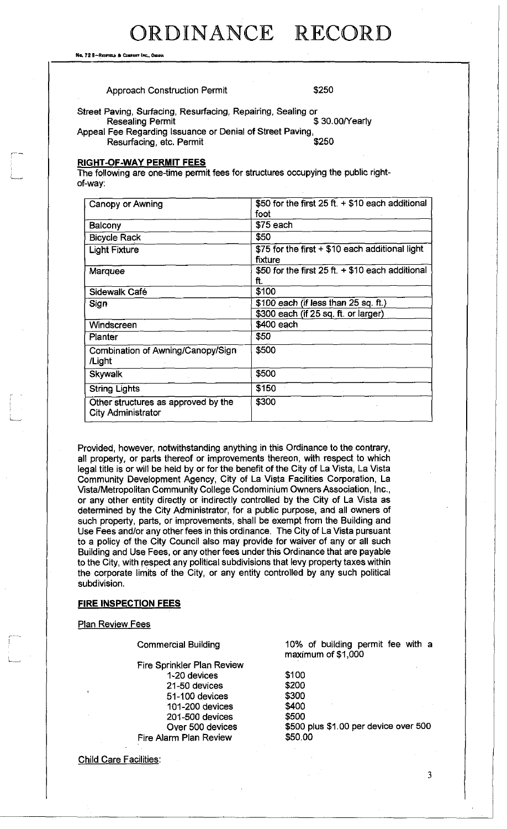No. 72 6—Redfielb a Commnt Inc., Omaha

#### Approach Construction Permit  $$250$

Street Paving, Surfacing, Resurfacing, Repairing, Sealing or<br>Resealing Permit \$30.00/Yearly **Resealing Permit** Appeal Fee Regarding Issuance or Denial of Street Paving,<br>Resurfacing, etc. Permit Resurfacing, etc. Permit

#### **RIGHT-OF-WAY PERMIT FEES**

The following are one-time permit fees for structures occupying the public rightof-way:

| Canopy or Awning                                                 | \$50 for the first $25 ft. + $10$ each additional |
|------------------------------------------------------------------|---------------------------------------------------|
|                                                                  | foot                                              |
| Balcony                                                          | $$75$ each                                        |
| <b>Bicycle Rack</b>                                              | \$50                                              |
| <b>Light Fixture</b>                                             | \$75 for the first + \$10 each additional light   |
|                                                                  | fixture                                           |
| Marquee                                                          | \$50 for the first $25 ft + $10$ each additional  |
|                                                                  | ft.                                               |
| Sidewalk Café                                                    | \$100                                             |
| Sign                                                             | \$100 each (if less than 25 sq. ft.)              |
|                                                                  | \$300 each (if 25 sq. ft. or larger)              |
| Windscreen                                                       | \$400 each                                        |
| Planter                                                          | \$50                                              |
| Combination of Awning/Canopy/Sign                                | \$500                                             |
| /Light                                                           |                                                   |
| <b>Skywalk</b>                                                   | \$500                                             |
| <b>String Lights</b>                                             | \$150                                             |
| Other structures as approved by the<br><b>City Administrator</b> | \$300                                             |

Provided, however, notwithstanding anything in this Ordinance to the contrary, all property, or parts thereof or improvements thereon, with respect to which legal title is or will be held by or for the benefit of the City of La Vista, La Vista Community Development Agency, City of La Vista Facilities Corporation, La Vista/Metropolitan Community College Condominium Owners Association, Inc., or any other entity directly or indirectly controlled by the City of La Vista as determined by the City Administrator, for a public purpose, and all owners of such property, parts, or improvements, shall be exempt from the Building and Use Fees and/or any other fees in this ordinance. The City of La Vista pursuant to a policy of the City Council also may provide for waiver of any or all such Building and Use Fees, or any other fees under this Ordinance that are payable to the City, with respect any political subdivisions that levy property taxes within the corporate limits of the City, or any entity controlled by any such political subdivision.

#### **FIRE INSPECTION FEES**

**Plan Review Fees** 

Commercial Building

Fire Sprinkler Plan Review 1-20 devices 21-50 devices 51-100 devices 101-200 devices 201-500 devices Over 500 devices Fire Alarm Plan Review

10% of building permit fee with a maximum of \$1,000

\$100 \$200 \$300 \$400 \$500 \$500 plus \$1.00 per device over 500 \$50.00

Child Care Facilities: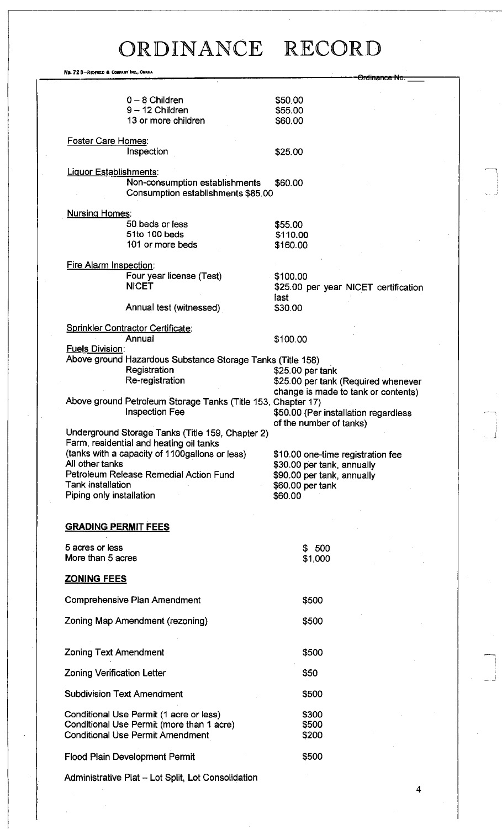No. 72 8-Redfield & Company Inc., Omaha

|                                   |                                                              | <del>Drdinance</del>                 |  |
|-----------------------------------|--------------------------------------------------------------|--------------------------------------|--|
|                                   |                                                              |                                      |  |
|                                   | $0 - 8$ Children                                             | \$50.00                              |  |
|                                   | $9 - 12$ Children                                            | \$55.00                              |  |
|                                   | 13 or more children                                          | \$60.00                              |  |
|                                   |                                                              |                                      |  |
| <b>Foster Care Homes:</b>         |                                                              |                                      |  |
|                                   | Inspection                                                   | \$25.00                              |  |
|                                   |                                                              |                                      |  |
| <b>Liquor Establishments:</b>     |                                                              |                                      |  |
|                                   | Non-consumption establishments                               | \$60.00                              |  |
|                                   | Consumption establishments \$85.00                           |                                      |  |
|                                   |                                                              |                                      |  |
| <b>Nursing Homes:</b>             |                                                              |                                      |  |
|                                   | 50 beds or less                                              | \$55.00                              |  |
|                                   | 51to 100 beds                                                | \$110.00                             |  |
|                                   | 101 or more beds                                             | \$160.00                             |  |
| Fire Alarm Inspection:            |                                                              |                                      |  |
|                                   | Four year license (Test)                                     |                                      |  |
|                                   | <b>NICET</b>                                                 | \$100.00                             |  |
|                                   |                                                              | \$25.00 per year NICET certification |  |
|                                   |                                                              | last                                 |  |
|                                   | Annual test (witnessed)                                      | \$30.00                              |  |
|                                   | <b>Sprinkler Contractor Certificate:</b>                     |                                      |  |
|                                   | Annual                                                       | \$100.00                             |  |
| <b>Fuels Division:</b>            |                                                              |                                      |  |
|                                   | Above ground Hazardous Substance Storage Tanks (Title 158)   |                                      |  |
|                                   | Registration                                                 | \$25.00 per tank                     |  |
|                                   | Re-registration                                              | \$25.00 per tank (Required whenever  |  |
|                                   |                                                              | change is made to tank or contents)  |  |
|                                   | Above ground Petroleum Storage Tanks (Title 153, Chapter 17) |                                      |  |
|                                   | <b>Inspection Fee</b>                                        | \$50.00 (Per installation regardless |  |
|                                   |                                                              | of the number of tanks)              |  |
|                                   | Underground Storage Tanks (Title 159, Chapter 2)             |                                      |  |
|                                   | Farm, residential and heating oil tanks                      |                                      |  |
|                                   | (tanks with a capacity of 1100gallons or less)               | \$10.00 one-time registration fee    |  |
| All other tanks                   |                                                              | \$30.00 per tank, annually           |  |
|                                   | Petroleum Release Remedial Action Fund                       | \$90.00 per tank, annually           |  |
| Tank installation                 |                                                              | \$60.00 per tank                     |  |
| Piping only installation          |                                                              | \$60.00                              |  |
|                                   |                                                              |                                      |  |
|                                   |                                                              |                                      |  |
| <b>GRADING PERMIT FEES</b>        |                                                              |                                      |  |
| 5 acres or less                   |                                                              |                                      |  |
| More than 5 acres                 |                                                              | \$500                                |  |
|                                   |                                                              | \$1,000                              |  |
| <b>ZONING FEES</b>                |                                                              |                                      |  |
|                                   |                                                              |                                      |  |
|                                   | Comprehensive Plan Amendment                                 | \$500                                |  |
|                                   |                                                              |                                      |  |
|                                   | Zoning Map Amendment (rezoning)                              | \$500                                |  |
|                                   |                                                              |                                      |  |
|                                   |                                                              |                                      |  |
| <b>Zoning Text Amendment</b>      |                                                              | \$500                                |  |
|                                   |                                                              |                                      |  |
| <b>Zoning Verification Letter</b> |                                                              | \$50                                 |  |
|                                   |                                                              |                                      |  |
| <b>Subdivision Text Amendment</b> |                                                              | \$500                                |  |
|                                   |                                                              |                                      |  |
|                                   | Conditional Use Permit (1 acre or less)                      | \$300                                |  |
|                                   | Conditional Use Permit (more than 1 acre)                    | \$500                                |  |
|                                   | <b>Conditional Use Permit Amendment</b>                      | \$200                                |  |
|                                   | <b>Flood Plain Development Permit</b>                        | \$500                                |  |
|                                   |                                                              |                                      |  |
|                                   |                                                              |                                      |  |

 $\overline{4}$ 

Administrative Plat - Lot Split, Lot Consolidation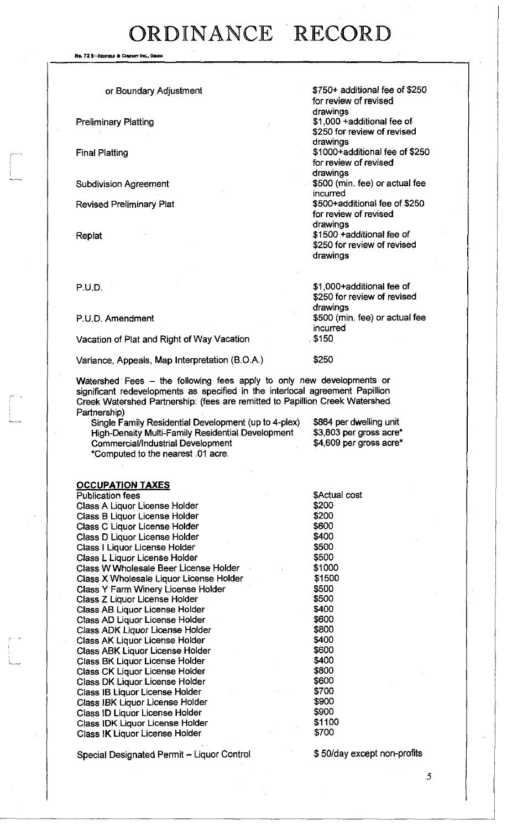No. 72 8-Redfield & Conpany Inc., Only

#### or Boundary Adjustment

Preliminary Platting

Final Platting

Subdivision Agreement

Revised Preliminary Plat

Replat

\$750+ additional fee of \$250 for review of revised drawings \$1,000 +additional fee of \$250 for review of revised drawings \$1000+additional fee of \$250 for review of revised drawings \$500 (min. fee) or actual fee incurred \$500+additional fee of \$250 for review of revised drawings \$1500 +additional fee of

\$250 for review of revised drawings

p.U.D. \$1,000+additional fee of \$250 for review of revised drawings P.U.D. Amendment **\$500** (min. fee) or actual fee incurred<br>, \$150

Variance, Appeals, Map Interpretation (B.O.A.) \$250

Vacation of Plat and Right of Way Vacation

Watershed Fees - the following fees apply to only new developments or significant redevelopments as specified in the interlocal agreement Papillion Creek Watershed Partnership: (fees are remitted to Papillion Creek Watershed Partnership)

Single Family Residential Development (up to 4-plex) \$864 per dwelling unit<br>High-Density Multi-Family Residential Development \$3,803 per gross acre\* High-Density Multi-Family Residential Development \$3,803 per gross acre\*<br>Commercial/Industrial Development \$4,609 per gross acre\* Commercial/Industrial Development \*Computed to the nearest .01 acre.

#### **OCCUPATION TAXES**

Publication fees \$Actual cost Class A Liquor License Holder **\$200** Class B Liquor License Holder **\$200** Class C Liquor License Holder \$600 Class D Liquor License Holder Class I Liquor License Holder **\$500** Class L Liquor License Holder<br>Class W Wholesale Beer License Holder \$1000 Class W Wholesale Beer License Holder **\$1000**<br>Class X Wholesale Liquor License Holder \$1500 Class X Wholesale Liquor License Holder Class Y Farm Winery License Holder  $$500$ <br>Class Z Liquor License Holder  $$500$ Class Z Liquor License Holder Class AB Liquor License Holder  $$400$ <br>Class AD Liquor License Holder  $$600$ Class AD Liquor License Holder \$600<br>Class ADK Liquor License Holder \$800 Class ADK Liquor License Holder \$800 Class AK Liquor License Holder  $$400$ <br>Class ABK Liquor License Holder  $$600$ Class ABK Liquor License Holder Class BK Liquor License Holder \$400<br>Class CK Liquor License Holder \$800 Class CK Liquor License Holder \$800 Class DK Liquor License Holder Class IB Liquor License Holder \$700 Class IBK Liquor License Holder \$900 Class ID Liquor License Holder **\$900 \$900 \$900 \$900 \$900 \$900 \$1100** \$1100 \$1100 \$1100 \$1100 \$1100 \$1100 \$1100 \$1 Class IDK Liquor License Holder Class IK Liquor License Holder \$700

Special Designated Permit - Liquor Control \$50/day except non-profits

5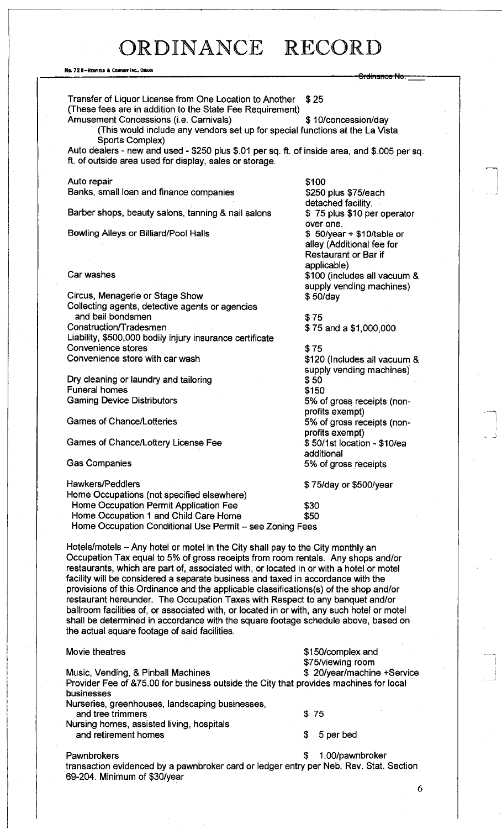#### No. 72 8-REOFIELD & COMPANY INC., OMAHA

<del>Ordinance No</del> Transfer of Liquor License from One Location to Another \$ 25 (These fees are in addition to the State Fee Requirement) Amusement Concessions (i.e. Carnivals)  $$ 10$ /concession/day (This would include any vendors set up for special functions at the La Vista Sports Complex) Auto dealers - new and used - \$250 plus \$.01 per sq. ft. of inside area, and \$.005 per sq. ft. of outside area used for display, sales or storage. Auto repair Banks, small loan and finance companies Barber shops, beauty salons, tanning & nail salons Bowling Alleys or Billiard/Pool Halls Car washes Circus, Menagerie or Stage Show Collecting agents, detective agents or agencies and bail bondsmen Construction/T radesmen Liability, \$500,000 bodily injury insurance certificate Convenience stores Convenience store with car wash Dry cleaning or laundry and tailoring Funeral homes Gaming Device Distributors Games of Chance/Lotteries Games of Chance/Lottery License Fee Gas Companies \$100 \$250 plus \$75/each detached facility. \$ 75 plus \$10 per operator over one. \$ 50/year + \$10/table or alley (Additional fee for Restaurant or Bar if applicable) \$100 (includes all vacuum & supply vending machines) \$ 50/day \$75 \$ 75 and a \$1,000,000 \$75 \$120 (Includes all vacuum & supply vending machines) \$50 \$150 5% of gross receipts (nonprofits exempt) 5% of gross receipts (nonprofits exempt) \$ 50/1 st location - \$10/ea additional 5% of gross receipts Hawkers/Peddlers \$ 75/day or \$500/year Home Occupations (not specified elsewhere) Home Occupation Permit Application Fee  $$30$ Home Occupation 1 and Child Care Home  $$50$ Home Occupation Conditional Use Permit - see Zoning Fees Hotels/motels - Any hotel or motel in the City shall pay to the City monthly an Occupation Tax equal to *5%* of gross receipts from room rentals. Any shops and/or restaurants, which are part of, associated with, or located in or with a hotel or motel facility will be considered a separate business and taxed in accordance with the provisions of this Ordinance and the applicable classifications(s) of the shop and/or restaurant hereunder. The Occupation Taxes with Respect to any banquet and/or ballroom facilities of, or associated with, or located in or with, any such hotel or motel shall be determined in accordance with the square footage schedule above, based on the actual square footage of said facilities. Movie theatres **but a struck and the struck and struck and struck and struck and struck and struck and struck and struck and struck and struck and struck and struck and struck and struck and struck and struck and struck an** \$75/viewing room Music, Vending, & Pinball Machines **\$** 20/year/machine +Service Provider Fee of &75.00 for business outside the City that provides machines for local businesses Nurseries, greenhouses, landscaping businesses, and tree trimmers \$ 75 Nursing homes, assisted living, hospitals and retirement homes  $\qquad \qquad$  \$ 5 per bed Pawnbrokers  $\sim$  1.00/pawnbroker transaction evidenced by a pawnbroker card or ledger entry per Neb. Rev. Stat. Section 69-204. Minimum of \$30/year

6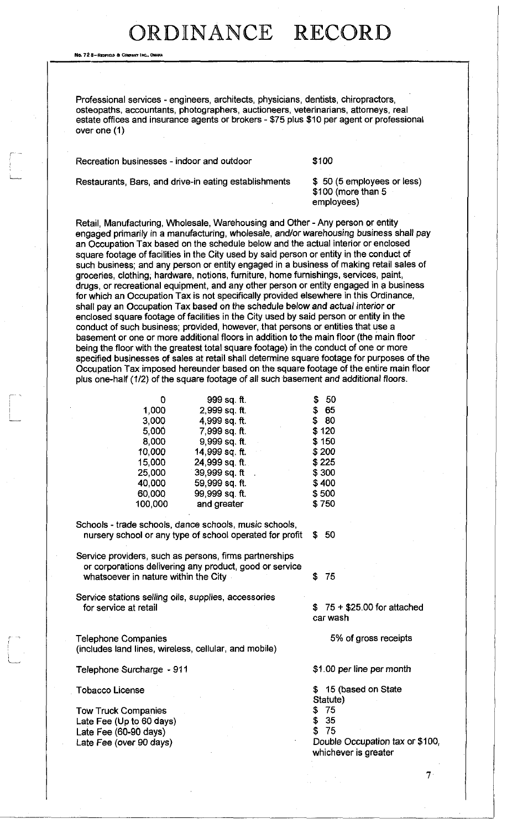No. 72 8—Redfielb ft Cowakt Inc. Omaha

r

Professional services - engineers, architects, physicians, dentists, chiropractors, osteopaths, accountants, photographers, auctioneers, veterinarians, attorneys, real estate offices and insurance agents or brokers - \$75 plus \$10 per agent or professional over one (1)

Recreation businesses - indoor and outdoor **\$100** 

Restaurants, Bars, and drive-in eating establishments \$ 50 (5 employees or less)

\$100 (more than 5 employees)

Retail, Manufacturing, Wholesale, Warehousing and Other - Any person or entity engaged primarily in a manufacturing, wholesale, and/or warehousing business shall pay an Occupation Tax based on the schedule below and the actual interior or enclosed square footage of facilities in the City used by said person or entity in the conduct of such business; and any person or entity engaged in a business of making retail sales of groceries, clothing, hardware, notions, furniture, home furnishings, services, paint, drugs, or recreational equipment, and any other person or entity engaged in g business for which an Occupation Tax is not specifically provided elsewhere in this Ordinance, shall pay an Occupation Tax based on the schedule below and actual interior or enclosed square footage of facilities in the City used by said person or entity in the conduct of such business; provided, however, that persons or entities that use a basement or one or more additional floors in addition to the main floor (the main floor being the floor with the greatest total square footage) in the conduct of one or more specified businesses of sales at retail shall determine square footage for purposes of the Occupation Tax imposed hereunder based on the square footage of the entire main floor plus one-half (1/2) of the square footage of all such basement and additional floors.

| 0       | 999 sq. ft.    | 50<br>\$ |
|---------|----------------|----------|
| 1.000   | 2,999 sq. ft.  | \$65     |
| 3.000   | 4,999 sq. ft.  | \$ 80    |
| 5.000   | 7,999 sq. ft.  | \$120    |
| 8.000   | 9,999 sq. ft.  | \$150    |
| 10,000  | 14,999 sq. ft. | \$200    |
| 15,000  | 24,999 sq. ft. | \$225    |
| 25,000  | 39,999 sq. ft  | \$300    |
| 40.000  | 59,999 sq. ft. | \$400    |
| 60,000  | 99,999 sq. ft. | \$500    |
| 100,000 | and greater    | \$750    |

Schools - trade schools, dance schools, music schools, nursery school or any type of school operated for profit \$ 50

Service providers, such as persons, firms partnerships or corporations delivering any product, good or service whatsoever in nature within the City  $$75$ 

Service stations selling oils, supplies, accessories for service at retail  $\sim$  600 for attached  $\sim$  75 + \$25.00 for attached

*<sup>r</sup>*Telephone Companies (includes land lines, wireless, cellular, and mobile)

Telephone Surcharge - 911 **\$1.00 per line per month** 

Tobacco License

Tow Truck Companies Late Fee (Up to 60 days) Late Fee (60-90 days) Late Fee (over 90 days)

car wash

5% of gross receipts

\$ 15 (based on State

- Statute)
- \$ 75
- \$ 35 \$ 75

Double Occupation tax or \$100, whichever is greater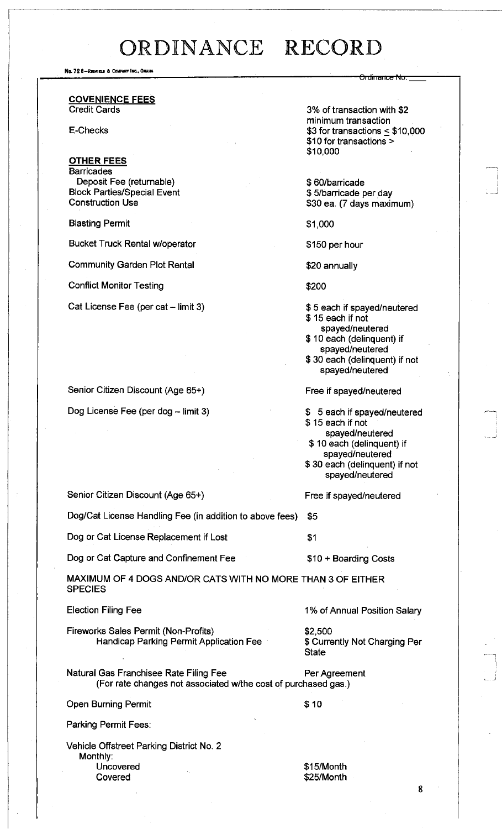No. 72 8-Redfield & Company Inc., Ohand

**COVENIENCE FEES**  Credit Cards

E-Checks

#### **OTHER FEES**

**Barricades** Deposit Fee (returnable) Block Parties/Special Event Construction Use

Blasting Permit

Bucket Truck Rental w/operator

Community Garden Plot Rental

Conflict Monitor Testing

Cat License Fee (per cat - limit 3)

Senior Citizen Discount (Age 65+)

Dog License Fee (per dog - limit 3)

3% of transaction with \$2 minimum transaction  $$3$  for transactions  $\leq$  \$10,000 \$10 for transactions > \$10,000

<del>Ordinance No. .</del>

\$ 60/barricade \$ 5/barricade per day \$30 ea. (7 days maximum)

\$1,000

\$150 per hour

\$20 annually

\$200

- \$ 5 each if spayed/neutered \$ 15 each if not spayed/neutered \$ 10 each (delinquent) if
- spayed/neutered \$ 30 each (delinquent) if not spayed/neutered

Free if spayed/neutered

\$ 5 each if spayed/neutered \$ 15 each if not spayed/neutered \$ 10 each (delinquent) if spayed/neutered \$ 30 each (delinquent) if not spayed/neutered

Free if spayed/neutered

Senior Citizen Discount (Age 65+)

Dog/Cat License Handling Fee (in addition to above fees) \$5

Dog or Cat License Replacement if Lost **\$1** 

Dog or Cat Capture and Confinement Fee  $$10 + Boarding Costs$ 

MAXIMUM OF 4 DOGS AND/OR CATS WITH NO MORE THAN 3 OF EITHER **SPECIES** 

Election Filing Fee

Fireworks Sales Permit (Non-Profits) Handicap Parking Permit Application Fee 1% of Annual Position Salary

\$2,500 \$ Currently Not Charging Per **State** 

Natural Gas Franchisee Rate Filing Fee (For rate changes not associated w/the cost of purchased gas.) Per Agreement

Open Burning Permit \$10

Parking Permit Fees:

Vehicle Offstreet Parking District No. 2 Monthly: Uncovered Covered

\$15/Month \$25/Month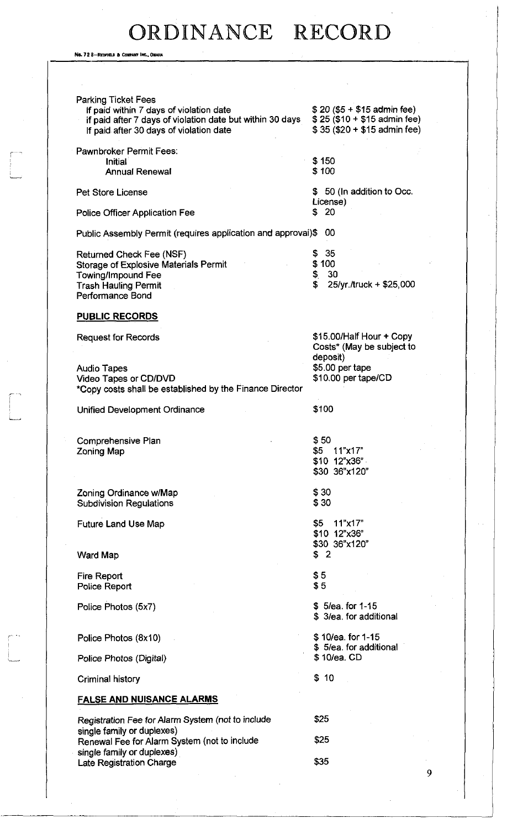No. 72 8-REDFIELD & COM

 $\begin{array}{c} \begin{array}{c} \begin{array}{c} \end{array} \\ \begin{array}{c} \end{array} \end{array} \end{array}$ 

 $\begin{bmatrix} 1 & 1 \\ 1 & 1 \end{bmatrix}$ 

 $\begin{bmatrix} 1 & 1 \\ 1 & 1 \end{bmatrix}$ 

| <b>Parking Ticket Fees</b><br>If paid within 7 days of violation date<br>if paid after 7 days of violation date but within 30 days<br>If paid after 30 days of violation date | $$20 ($5 + $15$ admin fee)<br>$$25 ($10 + $15$$ admin fee)<br>\$35 (\$20 + \$15 admin fee) |
|-------------------------------------------------------------------------------------------------------------------------------------------------------------------------------|--------------------------------------------------------------------------------------------|
| <b>Pawnbroker Permit Fees:</b>                                                                                                                                                |                                                                                            |
| <b>Initial</b>                                                                                                                                                                | \$150                                                                                      |
| <b>Annual Renewal</b>                                                                                                                                                         | \$100                                                                                      |
|                                                                                                                                                                               |                                                                                            |
| <b>Pet Store License</b>                                                                                                                                                      | \$ 50 (In addition to Occ.<br>License)                                                     |
| <b>Police Officer Application Fee</b>                                                                                                                                         | 20<br>\$                                                                                   |
|                                                                                                                                                                               |                                                                                            |
| Public Assembly Permit (requires application and approvai)\$                                                                                                                  | 00                                                                                         |
|                                                                                                                                                                               |                                                                                            |
| Returned Check Fee (NSF)                                                                                                                                                      | 35<br>\$<br>\$100                                                                          |
| Storage of Explosive Materials Permit<br>Towing/Impound Fee                                                                                                                   | \$<br>30                                                                                   |
| <b>Trash Hauling Permit</b>                                                                                                                                                   | \$<br>25/yr./truck + \$25,000                                                              |
| Performance Bond                                                                                                                                                              |                                                                                            |
|                                                                                                                                                                               |                                                                                            |
| <u>PUBLIC RECORDS</u>                                                                                                                                                         |                                                                                            |
| <b>Request for Records</b>                                                                                                                                                    | \$15.00/Half Hour + Copy                                                                   |
|                                                                                                                                                                               | Costs* (May be subject to                                                                  |
|                                                                                                                                                                               | deposit)                                                                                   |
| <b>Audio Tapes</b>                                                                                                                                                            | \$5.00 per tape                                                                            |
| Video Tapes or CD/DVD                                                                                                                                                         | \$10.00 per tape/CD                                                                        |
| *Copy costs shall be established by the Finance Director                                                                                                                      |                                                                                            |
| <b>Unified Development Ordinance</b>                                                                                                                                          | \$100                                                                                      |
|                                                                                                                                                                               |                                                                                            |
|                                                                                                                                                                               |                                                                                            |
| Comprehensive Plan                                                                                                                                                            | \$50<br>\$5 11"x17"                                                                        |
| Zoning Map                                                                                                                                                                    | \$10 12"x36"                                                                               |
|                                                                                                                                                                               | \$30 36"x120"                                                                              |
|                                                                                                                                                                               |                                                                                            |
| Zoning Ordinance w/Map                                                                                                                                                        | \$30                                                                                       |
| <b>Subdivision Regulations</b>                                                                                                                                                | \$30                                                                                       |
| <b>Future Land Use Map</b>                                                                                                                                                    | \$5<br>11"x17"                                                                             |
|                                                                                                                                                                               | \$10 12"x36"                                                                               |
|                                                                                                                                                                               | \$30 36"x120"                                                                              |
| <b>Ward Map</b>                                                                                                                                                               | \$2                                                                                        |
|                                                                                                                                                                               |                                                                                            |
| <b>Fire Report</b><br>Police Report                                                                                                                                           | \$5<br>\$5                                                                                 |
|                                                                                                                                                                               |                                                                                            |
| Police Photos (5x7)                                                                                                                                                           | \$5/ea. for 1-15                                                                           |
|                                                                                                                                                                               | \$3/ea. for additional                                                                     |
|                                                                                                                                                                               | \$10/ea. for 1-15                                                                          |
| Police Photos (8x10)                                                                                                                                                          | \$5/ea. for additional                                                                     |
| Police Photos (Digital)                                                                                                                                                       | \$10/ea. CD                                                                                |
|                                                                                                                                                                               |                                                                                            |
| <b>Criminal history</b>                                                                                                                                                       | \$10                                                                                       |
| <u>FALSE AND NUISANCE ALARMS</u>                                                                                                                                              |                                                                                            |
| Registration Fee for Alarm System (not to include                                                                                                                             | \$25                                                                                       |
| single family or duplexes)                                                                                                                                                    |                                                                                            |
| Renewal Fee for Alarm System (not to include                                                                                                                                  | \$25                                                                                       |
| single family or duplexes)                                                                                                                                                    |                                                                                            |
| <b>Late Registration Charge</b>                                                                                                                                               | \$35                                                                                       |
|                                                                                                                                                                               | Q                                                                                          |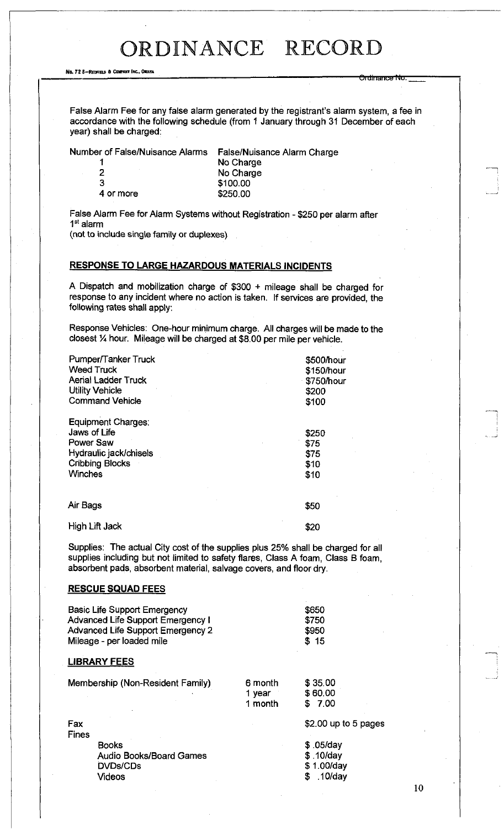<del>Ordinance No</del>

No. 72 8-Redfield & Company Inc., Owaha

False Alarm Fee for any false alarm generated by the registrant's alarm system, a fee in accordance with the following schedule (from 1 January through 31 December of each year) shall be charged:

Number of False/Nuisance Alarms False/Nuisance Alarm Charge

| No Charge |
|-----------|
| No Charge |
| \$100.00  |
| \$250.00  |
|           |

False Alarm Fee for Alarm Systems without Registration - \$250 per alarm after 1 st alarm

(not to include single family or duplexes)

#### **RESPONSE TO LARGE HAZARDOUS MATERIALS INCIDENTS**

A Dispatch and mobilization charge of \$300 + mileage shall be charged for response to any incident where no action is taken. If services are provided, the following rates shall apply:

Response Vehicles: One-hour minimum charge. All charges will be made to the closest *VA* hour. Mileage will be charged at \$8.00 per mile per vehicle.

| Pumper/Tanker Truck<br><b>Weed Truck</b><br><b>Aerial Ladder Truck</b><br><b>Utility Vehicle</b><br><b>Command Vehicle</b>   | \$500/hour<br>\$150/hour<br>\$750/hour<br>\$200<br>\$100 |
|------------------------------------------------------------------------------------------------------------------------------|----------------------------------------------------------|
| Equipment Charges:<br>Jaws of Life<br><b>Power Saw</b><br>Hydraulic jack/chisels<br><b>Cribbing Blocks</b><br><b>Winches</b> | \$250<br>\$75<br>\$75<br>\$10<br>\$10                    |
| Air Bags                                                                                                                     | \$50                                                     |
| High Lift Jack                                                                                                               | \$20                                                     |

Supplies: The actual City cost of the supplies plus 25% shall be charged for all supplies including but not limited to safety flares, Class A foam, Class B foam, absorbent pads, absorbent material, salvage covers, and floor dry.

#### **RESCUE SQUAD FEES**

|                     | <b>Basic Life Support Emergency</b><br><b>Advanced Life Support Emergency I</b><br><b>Advanced Life Support Emergency 2</b><br>Mileage - per loaded mile |                              | \$650<br>\$750<br>\$950<br>\$15                    |
|---------------------|----------------------------------------------------------------------------------------------------------------------------------------------------------|------------------------------|----------------------------------------------------|
|                     | <b>LIBRARY FEES</b>                                                                                                                                      |                              |                                                    |
|                     | Membership (Non-Resident Family)                                                                                                                         | 6 month<br>1 year<br>1 month | \$35.00<br>\$60,00<br>\$7.00                       |
| Fax<br><b>Fines</b> | <b>Books</b><br><b>Audio Books/Board Games</b>                                                                                                           |                              | \$2.00 up to 5 pages<br>$$.05$ /day<br>$$.10$ /day |
|                     | <b>DVDs/CDs</b><br>Videos                                                                                                                                |                              | \$1.00/day<br>$.10$ /day<br>\$                     |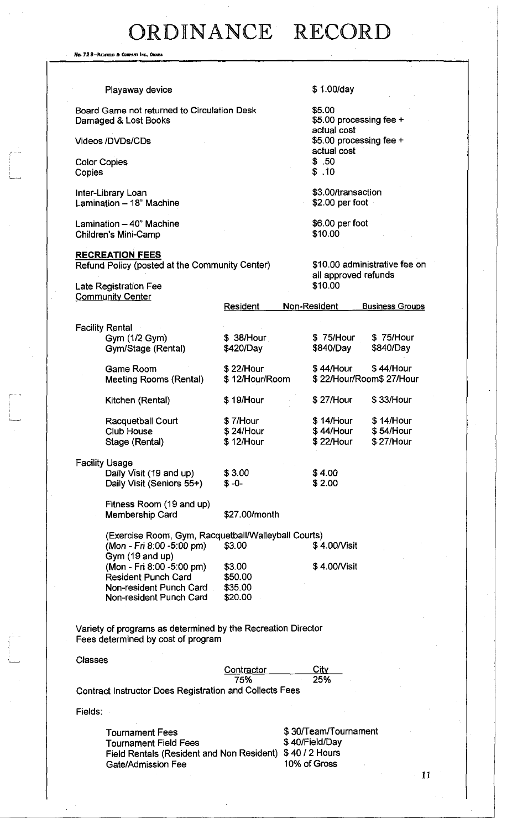No. 72 s-Reonmi ft Ccmmny Inc. *OMAHA* 

 $\begin{bmatrix} 1 & 1 \\ 1 & 1 \end{bmatrix}$ 

| Playaway device                                                                                                                  |                                         | \$1.00/day                                                               |                                                                                            |  |
|----------------------------------------------------------------------------------------------------------------------------------|-----------------------------------------|--------------------------------------------------------------------------|--------------------------------------------------------------------------------------------|--|
|                                                                                                                                  |                                         |                                                                          |                                                                                            |  |
| Board Game not returned to Circulation Desk<br>Damaged & Lost Books                                                              |                                         |                                                                          | \$5.00<br>\$5.00 processing fee +<br>actual cost<br>\$5.00 processing fee +<br>actual cost |  |
| <b>Videos /DVDs/CDs</b>                                                                                                          |                                         |                                                                          |                                                                                            |  |
| <b>Color Copies</b><br>Copies                                                                                                    |                                         | \$.50<br>\$.10                                                           |                                                                                            |  |
| Inter-Library Loan<br>Lamination - 18" Machine                                                                                   |                                         | \$3.00/transaction<br>$$2.00$ per foot                                   |                                                                                            |  |
| Lamination - 40" Machine<br>Children's Mini-Camp                                                                                 |                                         | \$10.00                                                                  | \$6.00 per foot                                                                            |  |
| <b>RECREATION FEES</b><br>Refund Policy (posted at the Community Center)                                                         |                                         | all approved refunds                                                     | \$10.00 administrative fee on                                                              |  |
| <b>Late Registration Fee</b>                                                                                                     |                                         | \$10.00                                                                  |                                                                                            |  |
| <b>Community Center</b>                                                                                                          | Resident                                | Non-Resident                                                             | <b>Business Groups</b>                                                                     |  |
| <b>Facility Rental</b><br>Gym (1/2 Gym)<br>Gym/Stage (Rental)                                                                    | \$38/Hour<br>\$420/Day                  | \$75/Hour<br>\$840/Day                                                   | \$75/Hour<br>\$840/Day                                                                     |  |
| <b>Game Room</b><br><b>Meeting Rooms (Rental)</b>                                                                                | \$22/Hour<br>\$12/Hour/Room             | \$44/Hour                                                                | \$44/Hour<br>\$22/Hour/Room\$27/Hour                                                       |  |
| Kitchen (Rental)                                                                                                                 | \$19/Hour                               | \$27/Hour                                                                | \$33/Hour                                                                                  |  |
| Racquetball Court<br><b>Club House</b><br>Stage (Rental)                                                                         | \$7/Hour<br>\$24/Hour<br>\$12/Hour      | \$14/Hour<br>\$44/Hour<br>\$22/Hour                                      | \$14/Hour<br>\$54/Hour<br>\$27/Hour                                                        |  |
| <b>Facility Usage</b><br>Daily Visit (19 and up)<br>Daily Visit (Seniors 55+)                                                    | \$3.00<br>$$ -0-$                       | \$4.00<br>\$2.00                                                         |                                                                                            |  |
| Fitness Room (19 and up)<br><b>Membership Card</b>                                                                               | \$27.00/month                           |                                                                          |                                                                                            |  |
| (Exercise Room, Gym, Racquetball/Walleyball Courts)                                                                              |                                         |                                                                          |                                                                                            |  |
| (Mon - Fri 8:00 -5:00 pm)<br>Gym (19 and up)                                                                                     | \$3.00                                  | \$4.00/Visit                                                             |                                                                                            |  |
| (Mon - Fri 8:00 -5:00 pm)<br><b>Resident Punch Card</b><br>Non-resident Punch Card<br>Non-resident Punch Card                    | \$3.00<br>\$50.00<br>\$35.00<br>\$20.00 | \$4.00/Visit                                                             |                                                                                            |  |
| Variety of programs as determined by the Recreation Director<br>Fees determined by cost of program                               |                                         |                                                                          |                                                                                            |  |
| <b>Classes</b>                                                                                                                   |                                         |                                                                          |                                                                                            |  |
| <b>Contract Instructor Does Registration and Collects Fees</b>                                                                   | Contractor<br>75%                       | City<br>25%                                                              |                                                                                            |  |
| Fields:                                                                                                                          |                                         |                                                                          |                                                                                            |  |
| <b>Tournament Fees</b><br><b>Tournament Field Fees</b><br>Field Rentals (Resident and Non Resident)<br><b>Gate/Admission Fee</b> |                                         | \$30/Team/Tournament<br>\$40/Field/Day<br>\$40 / 2 Hours<br>10% of Gross |                                                                                            |  |

11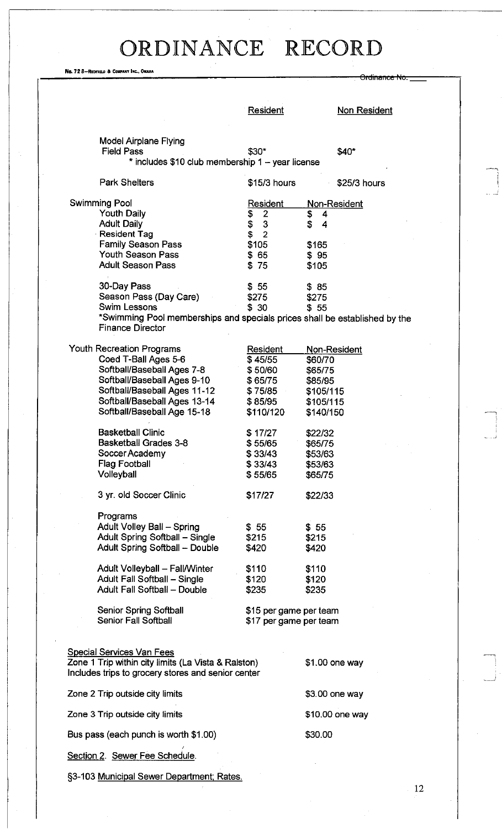No. 72 B-REDFIELO A COMPANY INC., OMAHA

|                                                                            |                                                  | <del>Ordinance No</del> |
|----------------------------------------------------------------------------|--------------------------------------------------|-------------------------|
|                                                                            |                                                  |                         |
|                                                                            | <b>Resident</b>                                  | <b>Non Resident</b>     |
|                                                                            |                                                  |                         |
| <b>Model Airplane Flying</b>                                               |                                                  |                         |
| <b>Field Pass</b>                                                          | $$30*$                                           | \$40"                   |
| * includes \$10 club membership 1 - year license                           |                                                  |                         |
| <b>Park Shelters</b>                                                       | $$15/3$ hours                                    | \$25/3 hours            |
| Swimming Pool                                                              | <u>Resident</u>                                  | Non-Resident            |
| <b>Youth Daily</b>                                                         | 2<br>\$                                          | \$<br>4                 |
| <b>Adult Daily</b>                                                         | 3<br>\$                                          | \$<br>4                 |
| Resident Tag                                                               | $\overline{2}$<br>\$                             |                         |
| <b>Family Season Pass</b>                                                  | \$105                                            | \$165                   |
| <b>Youth Season Pass</b><br><b>Adult Season Pass</b>                       | \$65<br>\$75                                     | \$95                    |
|                                                                            |                                                  | \$105                   |
| 30-Day Pass                                                                | \$55                                             | \$85                    |
| Season Pass (Day Care)                                                     | \$275                                            | \$275                   |
| <b>Swim Lessons</b>                                                        | \$30                                             | \$55                    |
| *Swimming Pool memberships and specials prices shall be established by the |                                                  |                         |
| <b>Finance Director</b>                                                    |                                                  |                         |
| Youth Recreation Programs                                                  | Resident                                         | <u>Non-Resident</u>     |
| Coed T-Ball Ages 5-6                                                       | \$45/55                                          | \$60/70                 |
| Softball/Baseball Ages 7-8                                                 | \$50/60                                          | \$65/75                 |
| Softball/Baseball Ages 9-10                                                | \$65/75                                          | \$85/95                 |
| Softball/Baseball Ages 11-12                                               | \$75/85                                          | \$105/115               |
| Softball/Baseball Ages 13-14                                               | \$85/95                                          | \$105/115               |
| Softball/Baseball Age 15-18                                                | \$110/120                                        | \$140/150               |
|                                                                            |                                                  |                         |
| <b>Basketball Clinic</b>                                                   | \$ 17/27                                         | \$22/32                 |
| <b>Basketball Grades 3-8</b>                                               | \$55/65                                          | \$65/75                 |
| Soccer Academy                                                             | \$33/43                                          | \$53/63                 |
| <b>Flag Football</b><br>Volleyball                                         | \$33/43                                          | \$53/63                 |
|                                                                            | \$55/65                                          | \$65/75                 |
| 3 yr. old Soccer Clinic                                                    | \$17/27                                          | \$22/33                 |
|                                                                            |                                                  |                         |
| Programs<br>Adult Volley Ball - Spring                                     |                                                  |                         |
| Adult Spring Softball - Single                                             | \$55<br>\$215                                    | \$55<br>\$215           |
| Adult Spring Softball - Double                                             | \$420                                            | \$420                   |
|                                                                            |                                                  |                         |
| Adult Volleyball - Fall/Winter                                             | \$110                                            | \$110                   |
| Adult Fall Softball - Single                                               | \$120                                            | \$120                   |
| Adult Fall Softball - Double                                               | \$235                                            | \$235                   |
|                                                                            |                                                  |                         |
| <b>Senior Spring Softball</b><br>Senior Fall Softball                      | \$15 per game per team<br>\$17 per game per team |                         |
|                                                                            |                                                  |                         |
|                                                                            |                                                  |                         |
| <b>Special Services Van Fees</b>                                           |                                                  |                         |
| Zone 1 Trip within city limits (La Vista & Ralston)                        |                                                  | \$1.00 one way          |
| Includes trips to grocery stores and senior center                         |                                                  |                         |
| Zone 2 Trip outside city limits                                            |                                                  | \$3.00 one way          |
| Zone 3 Trip outside city limits                                            |                                                  | \$10.00 one way         |
| Bus pass (each punch is worth \$1.00)                                      |                                                  | \$30.00                 |
| Section 2. Sewer Fee Schedule.                                             |                                                  |                         |
| §3-103 Municipal Sewer Department; Rates.                                  |                                                  |                         |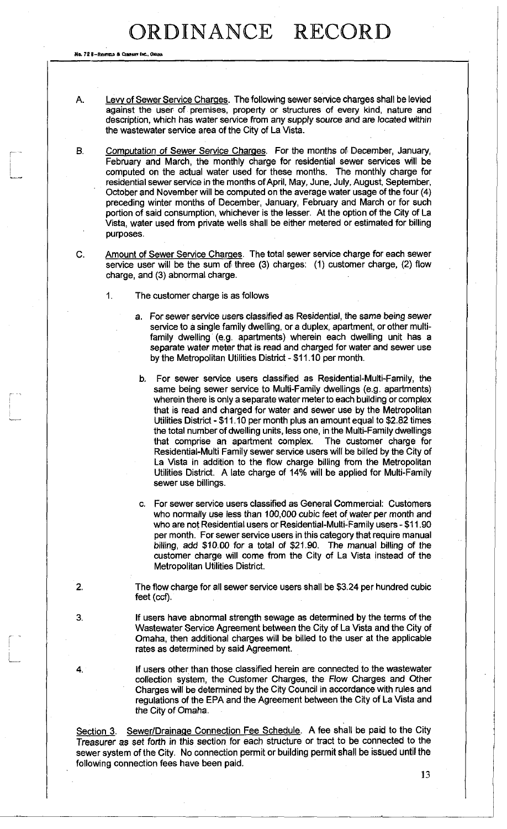No. 72 8-Redfield & Company Inc., Omand

- A. Levy of Sewer Service Charges. The following sewer service charges shall be levied against the user of premises, property or structures of every kind, nature and description, which has water service from any supply source and are located within the wastewater service area of the City of La Vista.
- B. Computation of Sewer Service Charges. For the months of December, January, February and March, the monthly charge for residential sewer services will be computed on the actual water used for these months. The monthly charge for residential sewer service in the months of April, May, June, July, August, September, October and November will be computed on the average water usage of the four (4) preceding winter months of December, January, February and March or for such portion of said consumption, whichever is the lesser. At the option of the City of La Vista, water used from private wells shall be either metered or estimated for billing purposes.
- C. Amount of Sewer Service Charges. The total sewer service charge for each sewer service user will be the sum of three (3) charges: (1) customer charge, (2) flow charge, and (3) abnormal charge.
	- 1. The customer charge is as follows
		- a. For sewer service users classified as Residential, the same being sewer service to a single family dwelling, or a duplex, apartment, or other multifamily dwelling (e.g. apartments) wherein each dwelling unit has a separate water meter that is read and charged for water and sewer use by the Metropolitan Utilities District-\$11.10 per month.
		- b. For sewer service users classified as Residential-Multi-Family, the same being sewer service to Multi-Family dwellings (e.g. apartments) wherein there is only a separate water meter to each building or complex that is read and charged for water and sewer use by the Metropolitan Utilities District - \$11.10 per month plus an amount equal to \$2.92 times the total number of dwelling units, less one, in the Multi-Family dwellings that comprise an apartment complex. The customer charge for Residential-Multi Family sewer service users will be billed by the City of La Vista in addition to the flow charge billing from the Metropolitan Utilities District. A late charge of 14% will be applied for Multi-Family sewer use billings.
		- c. For sewer sen/ice users classified as General Commercial: Customers who normally use less than 100,000 cubic feet of water per month and who are not Residential users or Residential-Multi-Family users - \$11.90 per month. For sewer service users in this category that require manual billing, add \$10.00 for a total of \$21.90. The manual billing of the customer charge will come from the City of La Vista instead of the Metropolitan Utilities District.
- 2. The flow charge for all sewer service users shall be \$3.24 per hundred cubic feet (ccf).
- 3. If users have abnormal strength sewage as determined by the terms of the Wastewater Service Agreement between the City of La Vista and the City of Omaha, then additional charges will be billed to the user at the applicable rates as determined by said Agreement.
- 4. If users other than those classified herein are connected to the wastewater collection system, the Customer Charges, the Flow Charges and Other Charges will be determined by the City Council in accordance with rules and regulations of the EPA and the Agreement between the City of La Vista and the City of Omaha.

Section 3. Sewer/Drainage Connection Fee Schedule. A fee shall be paid to the City Treasurer as set forth in this section for each structure or tract to be connected to the sewer system of the City. No connection permit or building permit shall be issued until the following connection fees have been paid.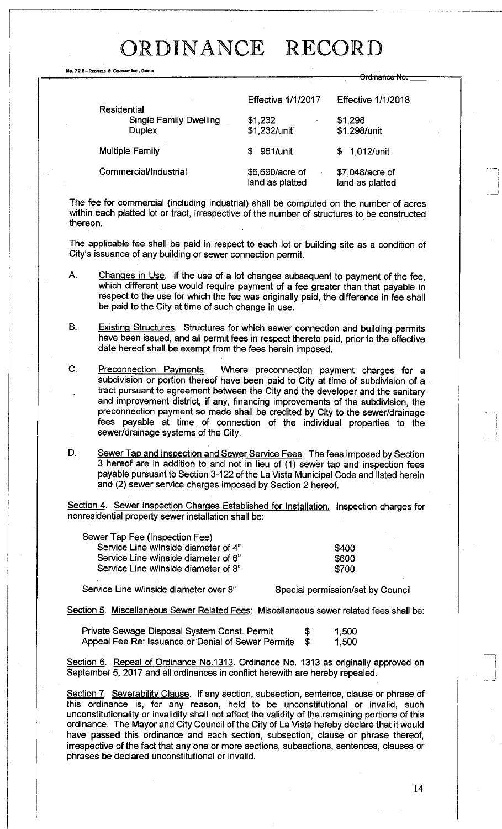Ordinance No.

No. 72 8-REDFIELD & COMPANY INC., OMAHA

| <b>Residential</b>                             | <b>Effective 1/1/2017</b>          | <b>Effective 1/1/2018</b>          |  |
|------------------------------------------------|------------------------------------|------------------------------------|--|
| <b>Single Family Dwelling</b><br><b>Duplex</b> | \$1,232<br>\$1,232/unit            | \$1,298<br>\$1,298/unit            |  |
| <b>Multiple Family</b>                         | 961/unit<br>£.                     | 1,012/unit<br>SS.                  |  |
| Commercial/Industrial                          | \$6,690/acre of<br>land as platted | \$7,048/acre of<br>land as platted |  |

The fee for commercial (including industrial) shall be computed on the number of acres within each platted lot or tract, irrespective of the number of structures to be constructed thereon.

The applicable fee shall be paid in respect to each lot or building site as a condition of City's issuance of any building or sewer connection permit.

- A. Changes in Use. If the use of a lot changes subsequent to payment of the fee, which different use would require payment of a fee greater than that payable in respect to the use for which the fee was originally paid, the difference in fee shall be paid to the City at time of such change in use.
- B. Existing Structures. Structures for which sewer connection and building permits have been issued, and all permit fees in respect thereto paid, prior to the effective date hereof shall be exempt from the fees herein imposed.
- C. Preconnection Payments. Where preconnection payment charges for a subdivision or portion thereof have been paid to City at time of subdivision of a tract pursuant to agreement between the City and the developer and the sanitary and improvement district, if any, financing improvements of the subdivision, the preconnection payment so made shall be credited by City to the sewer/drainage fees payable at time of connection of the individual properties to the sewer/drainage systems of the City.
- D. Sewer Tap and Inspection and Sewer Service Fees. The fees imposed by Section 3 hereof are in addition to and not in lieu of (1) sewer tap and inspection fees payable pursuant to Section 3-122 of the La Vista Municipal Code and listed herein and (2) sewer service charges imposed by Section 2 hereof.

Section 4. Sewer Inspection Charges Established for Installation. Inspection charges for nonresidential property sewer installation shall be:

| Sewer Tap Fee (Inspection Fee)       |       |
|--------------------------------------|-------|
| Service Line w/inside diameter of 4" | \$400 |
| Service Line w/inside diameter of 6" | \$600 |
| Service Line w/inside diameter of 8" | \$700 |

Service Line w/inside diameter over 8" Special permission/set by Council

Section 5. Miscellaneous Sewer Related Fees : Miscellaneous sewer related fees shall be:

| Private Sewage Disposal System Const. Permit       | -S | 1,500 |
|----------------------------------------------------|----|-------|
| Appeal Fee Re: Issuance or Denial of Sewer Permits |    | 1,500 |

Section 6. Repeal of Ordinance No.1313. Ordinance No. 1313 as originally approved on September 5, 2017 and all ordinances in conflict herewith are hereby repealed.

Section 7. Severability Clause. If any section, subsection, sentence, clause or phrase of this ordinance is, for any reason, held to be unconstitutional or invalid, such unconstitutionality or invalidity shall not affect the validity of the remaining portions of this ordinance. The Mayor and City Council of the City of La Vista hereby declare that it would have passed this ordinance and each section, subsection, clause or phrase thereof, irrespective of the fact that any one or more sections, subsections, sentences, clauses or phrases be declared unconstitutional or invalid.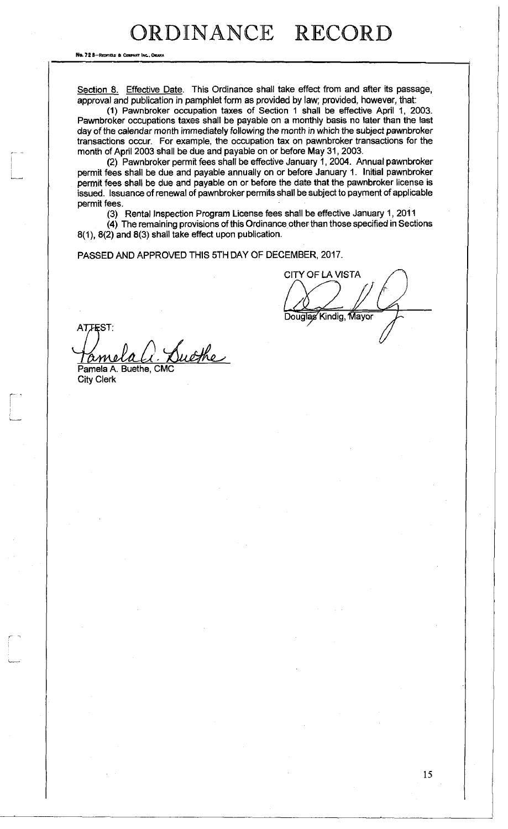No. 72 8-REDFIELD & COMPANY INC., ON

Section 8. Effective Date. This Ordinance shall take effect from and after its passage, approval and publication in pamphlet form as provided by law; provided, however, that:

(1) Pawnbroker occupation taxes of Section 1 shall be effective April 1, 2003. Pawnbroker occupations taxes shall be payable on a monthly basis no later than the last day of the calendar month immediately following the month in which the subject pawnbroker transactions occur. For example, the occupation tax on pawnbroker transactions for the month of April 2003 shall be due and payable on or before May 31, 2003.

(2) Pawnbroker permit fees shall be effective January 1, 2004. Annual pawnbroker permit fees shall be due and payable annually on or before January 1. Initial pawnbroker permit fees shall be due and payable on or before the date that the pawnbroker license is issued. Issuance of renewal of pawnbroker permits shall be subject to payment of applicable permit fees.

(3) Rental Inspection Program License fees shall be effective January 1, 2011

(4) The remaining provisions of this Ordinance other than those specified in Sections 8(1), 8(2) and 8(3) shall take effect upon publication.

PASSED AND APPROVED THIS 5TH DAY OF DECEMBER, 2017.

**CITY OF LA VISTA** Douglas Kindig, Mayor

ATTEST: Suche am

Pamela A. Buethe, CMC City Clerk